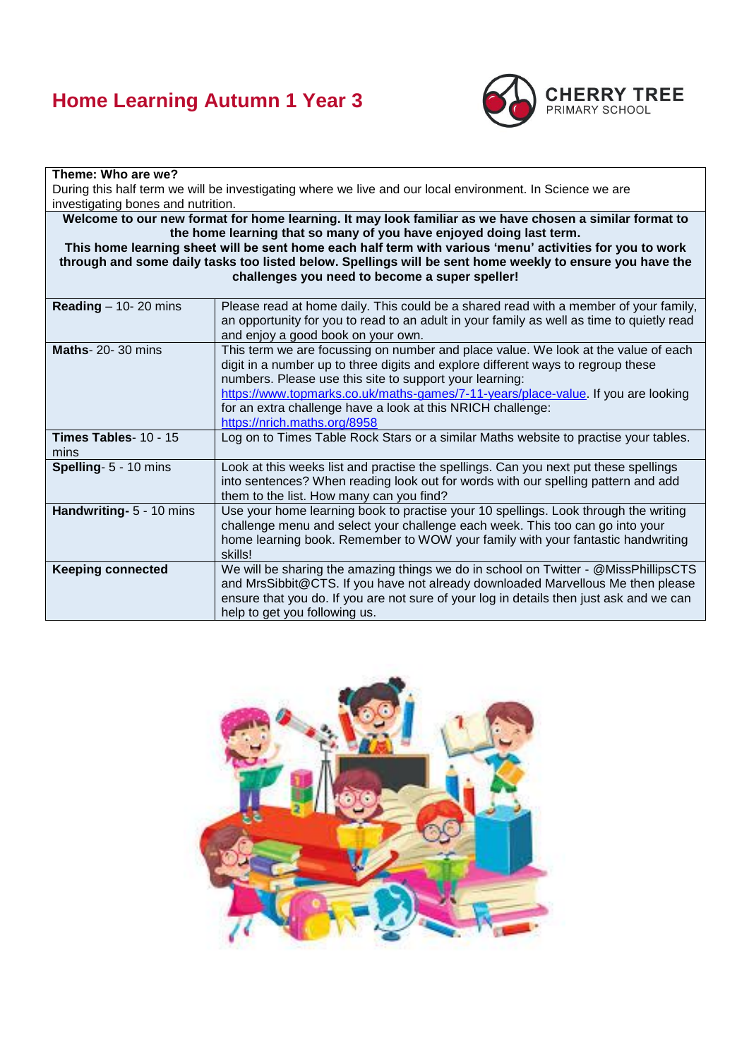# **Home Learning Autumn 1 Year 3**



| Theme: Who are we?                                                                                                                                                                                                                                                                                                                                                                                                                                       |                                                                                                                                                                                                                                                                                                                                                                                                                       |  |  |  |
|----------------------------------------------------------------------------------------------------------------------------------------------------------------------------------------------------------------------------------------------------------------------------------------------------------------------------------------------------------------------------------------------------------------------------------------------------------|-----------------------------------------------------------------------------------------------------------------------------------------------------------------------------------------------------------------------------------------------------------------------------------------------------------------------------------------------------------------------------------------------------------------------|--|--|--|
| During this half term we will be investigating where we live and our local environment. In Science we are                                                                                                                                                                                                                                                                                                                                                |                                                                                                                                                                                                                                                                                                                                                                                                                       |  |  |  |
| investigating bones and nutrition.                                                                                                                                                                                                                                                                                                                                                                                                                       |                                                                                                                                                                                                                                                                                                                                                                                                                       |  |  |  |
| Welcome to our new format for home learning. It may look familiar as we have chosen a similar format to<br>the home learning that so many of you have enjoyed doing last term.<br>This home learning sheet will be sent home each half term with various 'menu' activities for you to work<br>through and some daily tasks too listed below. Spellings will be sent home weekly to ensure you have the<br>challenges you need to become a super speller! |                                                                                                                                                                                                                                                                                                                                                                                                                       |  |  |  |
| Reading $-$ 10- 20 mins                                                                                                                                                                                                                                                                                                                                                                                                                                  | Please read at home daily. This could be a shared read with a member of your family,<br>an opportunity for you to read to an adult in your family as well as time to quietly read<br>and enjoy a good book on your own.                                                                                                                                                                                               |  |  |  |
| <b>Maths-20-30 mins</b>                                                                                                                                                                                                                                                                                                                                                                                                                                  | This term we are focussing on number and place value. We look at the value of each<br>digit in a number up to three digits and explore different ways to regroup these<br>numbers. Please use this site to support your learning:<br>https://www.topmarks.co.uk/maths-games/7-11-years/place-value. If you are looking<br>for an extra challenge have a look at this NRICH challenge:<br>https://nrich.maths.org/8958 |  |  |  |
| Times Tables- 10 - 15<br>mins                                                                                                                                                                                                                                                                                                                                                                                                                            | Log on to Times Table Rock Stars or a similar Maths website to practise your tables.                                                                                                                                                                                                                                                                                                                                  |  |  |  |
| Spelling- 5 - 10 mins                                                                                                                                                                                                                                                                                                                                                                                                                                    | Look at this weeks list and practise the spellings. Can you next put these spellings<br>into sentences? When reading look out for words with our spelling pattern and add<br>them to the list. How many can you find?                                                                                                                                                                                                 |  |  |  |
| Handwriting- 5 - 10 mins                                                                                                                                                                                                                                                                                                                                                                                                                                 | Use your home learning book to practise your 10 spellings. Look through the writing<br>challenge menu and select your challenge each week. This too can go into your<br>home learning book. Remember to WOW your family with your fantastic handwriting<br>skills!                                                                                                                                                    |  |  |  |
| <b>Keeping connected</b>                                                                                                                                                                                                                                                                                                                                                                                                                                 | We will be sharing the amazing things we do in school on Twitter - @MissPhillipsCTS<br>and MrsSibbit@CTS. If you have not already downloaded Marvellous Me then please<br>ensure that you do. If you are not sure of your log in details then just ask and we can<br>help to get you following us.                                                                                                                    |  |  |  |